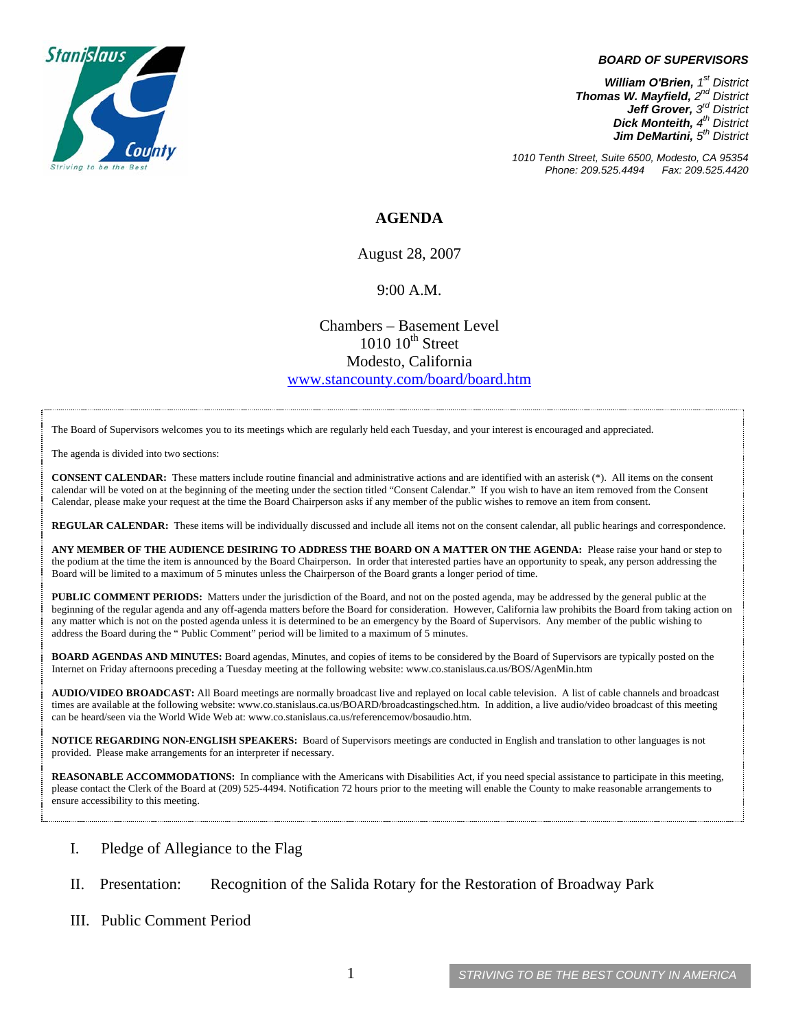

#### *BOARD OF SUPERVISORS*

*William O'Brien, 1st District Thomas W. Mayfield, 2nd District Jeff Grover, 3rd District Dick Monteith, 4th District Jim DeMartini, 5th District*

*1010 Tenth Street, Suite 6500, Modesto, CA 95354 Phone: 209.525.4494 Fax: 209.525.4420* 

### **AGENDA**

August 28, 2007

#### 9:00 A.M.

Chambers – Basement Level  $1010~10^{\text{th}}$  Street Modesto, California [www.stancounty.com/board/board.htm](http://www.stancounty.com/board/board.htm)

The Board of Supervisors welcomes you to its meetings which are regularly held each Tuesday, and your interest is encouraged and appreciated.

The agenda is divided into two sections:

**CONSENT CALENDAR:** These matters include routine financial and administrative actions and are identified with an asterisk (\*). All items on the consent calendar will be voted on at the beginning of the meeting under the section titled "Consent Calendar." If you wish to have an item removed from the Consent Calendar, please make your request at the time the Board Chairperson asks if any member of the public wishes to remove an item from consent.

**REGULAR CALENDAR:** These items will be individually discussed and include all items not on the consent calendar, all public hearings and correspondence.

**ANY MEMBER OF THE AUDIENCE DESIRING TO ADDRESS THE BOARD ON A MATTER ON THE AGENDA:** Please raise your hand or step to the podium at the time the item is announced by the Board Chairperson. In order that interested parties have an opportunity to speak, any person addressing the Board will be limited to a maximum of 5 minutes unless the Chairperson of the Board grants a longer period of time.

**PUBLIC COMMENT PERIODS:** Matters under the jurisdiction of the Board, and not on the posted agenda, may be addressed by the general public at the beginning of the regular agenda and any off-agenda matters before the Board for consideration. However, California law prohibits the Board from taking action on any matter which is not on the posted agenda unless it is determined to be an emergency by the Board of Supervisors. Any member of the public wishing to address the Board during the " Public Comment" period will be limited to a maximum of 5 minutes.

**BOARD AGENDAS AND MINUTES:** Board agendas, Minutes, and copies of items to be considered by the Board of Supervisors are typically posted on the Internet on Friday afternoons preceding a Tuesday meeting at the following website: [www.co.stanislaus.ca.us/BOS/AgenMin.htm](http://www.co.stanislaus.ca.us/BOS/AgenMin.htm) 

**AUDIO/VIDEO BROADCAST:** All Board meetings are normally broadcast live and replayed on local cable television. A list of cable channels and broadcast times are available at the following website: [www.co.stanislaus.ca.us/BOARD/broadcastingsched.htm](http://www.co.stanislaus.ca.us/BOARD/broadcastingsched.htm). In addition, a live audio/video broadcast of this meeting can be heard/seen via the World Wide Web at: [www.co.stanislaus.ca.us/referencemov/bosaudio.htm.](http://www.co.stanislaus.ca.us/referencemov/bosaudio.htm)

**NOTICE REGARDING NON-ENGLISH SPEAKERS:** Board of Supervisors meetings are conducted in English and translation to other languages is not provided. Please make arrangements for an interpreter if necessary.

**REASONABLE ACCOMMODATIONS:** In compliance with the Americans with Disabilities Act, if you need special assistance to participate in this meeting, please contact the Clerk of the Board at (209) 525-4494. Notification 72 hours prior to the meeting will enable the County to make reasonable arrangements to ensure accessibility to this meeting.

- I. Pledge of Allegiance to the Flag
- II. Presentation: Recognition of the Salida Rotary for the Restoration of Broadway Park
- III. Public Comment Period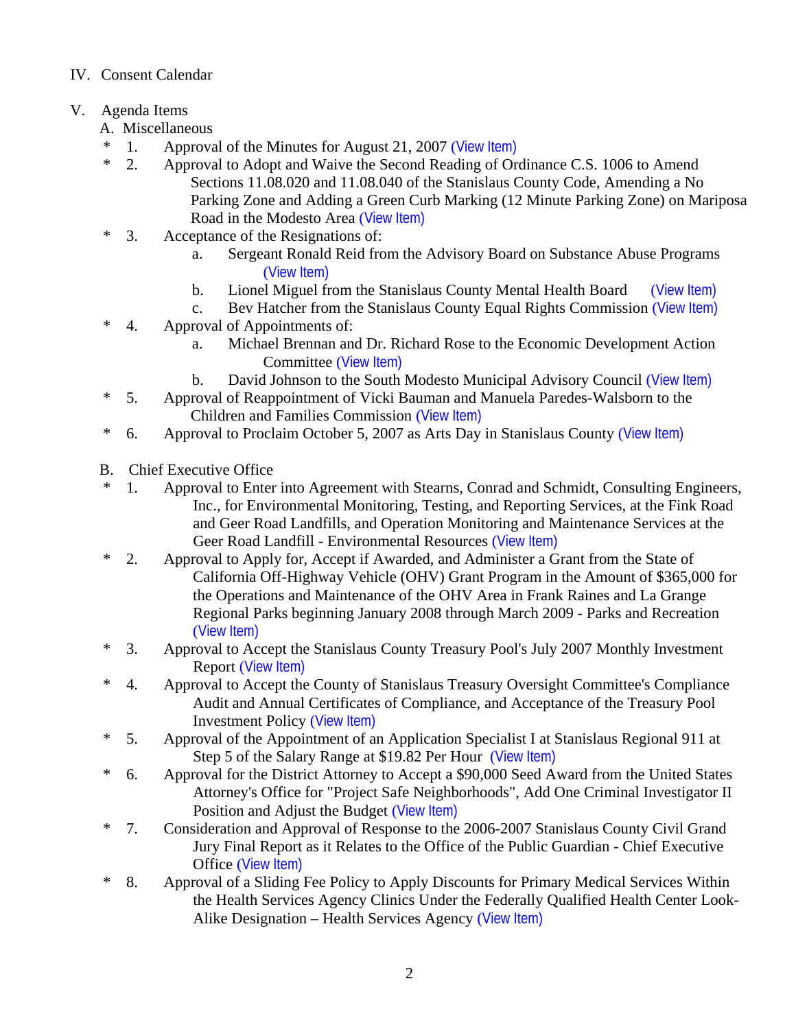# IV. Consent Calendar

# V. Agenda Items

- A. Miscellaneous
- \* 1. Approval of the Minutes for August 21, 2007 ([View Item\)](http://www.co.stanislaus.ca.us/bos/minutes/2007/min08-21-07.pdf)
- \* 2. Approval to Adopt and Waive the Second Reading of Ordinance C.S. 1006 to Amend Sections 11.08.020 and 11.08.040 of the Stanislaus County Code, Amending a No Parking Zone and Adding a Green Curb Marking (12 Minute Parking Zone) on Mariposa Road in the Modesto Area ([View Item\)](http://www.co.stanislaus.ca.us/bos/agenda/2007/20070828/A02.pdf)
- \* 3. Acceptance of the Resignations of:
	- a. Sergeant Ronald Reid from the Advisory Board on Substance Abuse Programs ([View Item\)](http://www.co.stanislaus.ca.us/bos/agenda/2007/20070828/A03a.pdf)
	- b. Lionel Miguel from the Stanislaus County Mental Health Board ([View Item\)](http://www.co.stanislaus.ca.us/bos/agenda/2007/20070828/A03b.pdf)
	- c. Bev Hatcher from the Stanislaus County Equal Rights Commission ([View Item\)](http://www.co.stanislaus.ca.us/bos/agenda/2007/20070828/A03c.pdf)
- \* 4. Approval of Appointments of:
	- a. Michael Brennan and Dr. Richard Rose to the Economic Development Action Committee ([View Item\)](http://www.co.stanislaus.ca.us/bos/agenda/2007/20070828/A04a.pdf)
	- b. David Johnson to the South Modesto Municipal Advisory Council ([View Item\)](http://www.co.stanislaus.ca.us/bos/agenda/2007/20070828/A04b.pdf)
- \* 5. Approval of Reappointment of Vicki Bauman and Manuela Paredes-Walsborn to the Children and Families Commission ([View Item\)](http://www.co.stanislaus.ca.us/bos/agenda/2007/20070828/A05.pdf)
- \* 6. Approval to Proclaim October 5, 2007 as Arts Day in Stanislaus County ([View Item\)](http://www.co.stanislaus.ca.us/bos/agenda/2007/20070828/A06.pdf)
- B. Chief Executive Office
- \* 1. Approval to Enter into Agreement with Stearns, Conrad and Schmidt, Consulting Engineers, Inc., for Environmental Monitoring, Testing, and Reporting Services, at the Fink Road and Geer Road Landfills, and Operation Monitoring and Maintenance Services at the Geer Road Landfill - Environmental Resources ([View Item\)](http://www.co.stanislaus.ca.us/bos/agenda/2007/20070828/B01.pdf)
- \* 2. Approval to Apply for, Accept if Awarded, and Administer a Grant from the State of California Off-Highway Vehicle (OHV) Grant Program in the Amount of \$365,000 for the Operations and Maintenance of the OHV Area in Frank Raines and La Grange Regional Parks beginning January 2008 through March 2009 - Parks and Recreation ([View Item\)](http://www.co.stanislaus.ca.us/bos/agenda/2007/20070828/B02.pdf)
- \* 3. Approval to Accept the Stanislaus County Treasury Pool's July 2007 Monthly Investment Report ([View Item\)](http://www.co.stanislaus.ca.us/bos/agenda/2007/20070828/B03.pdf)
- \* 4. Approval to Accept the County of Stanislaus Treasury Oversight Committee's Compliance Audit and Annual Certificates of Compliance, and Acceptance of the Treasury Pool Investment Policy ([View Item\)](http://www.co.stanislaus.ca.us/bos/agenda/2007/20070828/B04.pdf)
- \* 5. Approval of the Appointment of an Application Specialist I at Stanislaus Regional 911 at Step 5 of the Salary Range at \$19.82 Per Hour ([View Item\)](http://www.co.stanislaus.ca.us/bos/agenda/2007/20070828/B05.pdf)
- \* 6. Approval for the District Attorney to Accept a \$90,000 Seed Award from the United States Attorney's Office for "Project Safe Neighborhoods", Add One Criminal Investigator II Position and Adjust the Budget ([View Item\)](http://www.co.stanislaus.ca.us/bos/agenda/2007/20070828/B06.pdf)
- \* 7. Consideration and Approval of Response to the 2006-2007 Stanislaus County Civil Grand Jury Final Report as it Relates to the Office of the Public Guardian - Chief Executive Office ([View Item\)](http://www.co.stanislaus.ca.us/bos/agenda/2007/20070828/B07.pdf)
- \* 8. Approval of a Sliding Fee Policy to Apply Discounts for Primary Medical Services Within the Health Services Agency Clinics Under the Federally Qualified Health Center Look-Alike Designation – Health Services Agency ([View Item\)](http://www.co.stanislaus.ca.us/bos/agenda/2007/20070828/B08.pdf)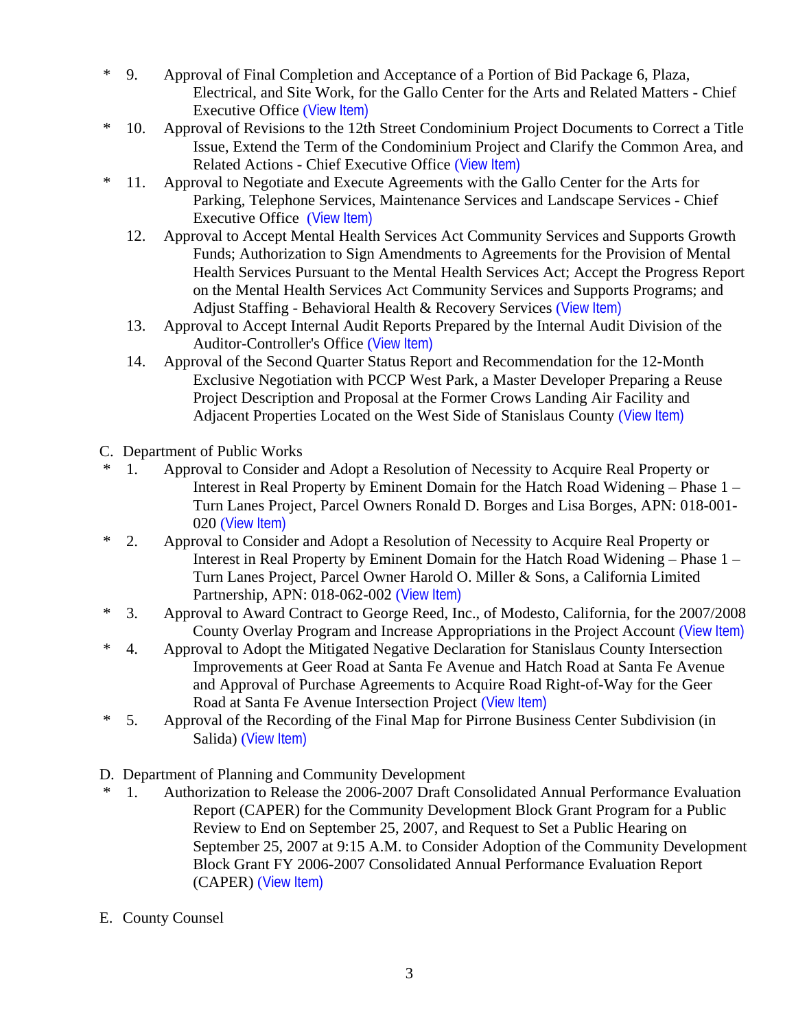- \* 9. Approval of Final Completion and Acceptance of a Portion of Bid Package 6, Plaza, Electrical, and Site Work, for the Gallo Center for the Arts and Related Matters - Chief Executive Office ([View Item\)](http://www.co.stanislaus.ca.us/bos/agenda/2007/20070828/B09.pdf)
- \* 10. Approval of Revisions to the 12th Street Condominium Project Documents to Correct a Title Issue, Extend the Term of the Condominium Project and Clarify the Common Area, and Related Actions - Chief Executive Office ([View Item\)](http://www.co.stanislaus.ca.us/bos/agenda/2007/20070828/B10.pdf)
- \* 11. Approval to Negotiate and Execute Agreements with the Gallo Center for the Arts for Parking, Telephone Services, Maintenance Services and Landscape Services - Chief Executive Office ([View Item\)](http://www.co.stanislaus.ca.us/bos/agenda/2007/20070828/B11.pdf)
	- 12. Approval to Accept Mental Health Services Act Community Services and Supports Growth Funds; Authorization to Sign Amendments to Agreements for the Provision of Mental Health Services Pursuant to the Mental Health Services Act; Accept the Progress Report on the Mental Health Services Act Community Services and Supports Programs; and Adjust Staffing - Behavioral Health & Recovery Services ([View Item\)](http://www.co.stanislaus.ca.us/bos/agenda/2007/20070828/B12.pdf)
	- 13. Approval to Accept Internal Audit Reports Prepared by the Internal Audit Division of the Auditor-Controller's Office ([View Item\)](http://www.co.stanislaus.ca.us/bos/agenda/2007/20070828/B13.pdf)
	- 14. Approval of the Second Quarter Status Report and Recommendation for the 12-Month Exclusive Negotiation with PCCP West Park, a Master Developer Preparing a Reuse Project Description and Proposal at the Former Crows Landing Air Facility and Adjacent Properties Located on the West Side of Stanislaus County ([View Item\)](http://www.co.stanislaus.ca.us/bos/agenda/2007/20070828/B14.pdf)
- C. Department of Public Works
- \* 1. Approval to Consider and Adopt a Resolution of Necessity to Acquire Real Property or Interest in Real Property by Eminent Domain for the Hatch Road Widening – Phase 1 – Turn Lanes Project, Parcel Owners Ronald D. Borges and Lisa Borges, APN: 018-001- 020 ([View Item\)](http://www.co.stanislaus.ca.us/bos/agenda/2007/20070828/C01.pdf)
- \* 2. Approval to Consider and Adopt a Resolution of Necessity to Acquire Real Property or Interest in Real Property by Eminent Domain for the Hatch Road Widening – Phase 1 – Turn Lanes Project, Parcel Owner Harold O. Miller & Sons, a California Limited Partnership, APN: 018-062-002 ([View Item\)](http://www.co.stanislaus.ca.us/bos/agenda/2007/20070828/C02.pdf)
- \* 3. Approval to Award Contract to George Reed, Inc., of Modesto, California, for the 2007/2008 County Overlay Program and Increase Appropriations in the Project Account ([View Item\)](http://www.co.stanislaus.ca.us/bos/agenda/2007/20070828/C03.pdf)
- \* 4. Approval to Adopt the Mitigated Negative Declaration for Stanislaus County Intersection Improvements at Geer Road at Santa Fe Avenue and Hatch Road at Santa Fe Avenue and Approval of Purchase Agreements to Acquire Road Right-of-Way for the Geer Road at Santa Fe Avenue Intersection Project ([View Item\)](http://www.co.stanislaus.ca.us/bos/agenda/2007/20070828/C04.pdf)
- \* 5. Approval of the Recording of the Final Map for Pirrone Business Center Subdivision (in Salida) ([View Item\)](http://www.co.stanislaus.ca.us/bos/agenda/2007/20070828/C05.pdf)
- D. Department of Planning and Community Development
- 1. Authorization to Release the 2006-2007 Draft Consolidated Annual Performance Evaluation Report (CAPER) for the Community Development Block Grant Program for a Public Review to End on September 25, 2007, and Request to Set a Public Hearing on September 25, 2007 at 9:15 A.M. to Consider Adoption of the Community Development Block Grant FY 2006-2007 Consolidated Annual Performance Evaluation Report (CAPER) ([View Item\)](http://www.co.stanislaus.ca.us/bos/agenda/2007/20070828/D01.pdf)
- E. County Counsel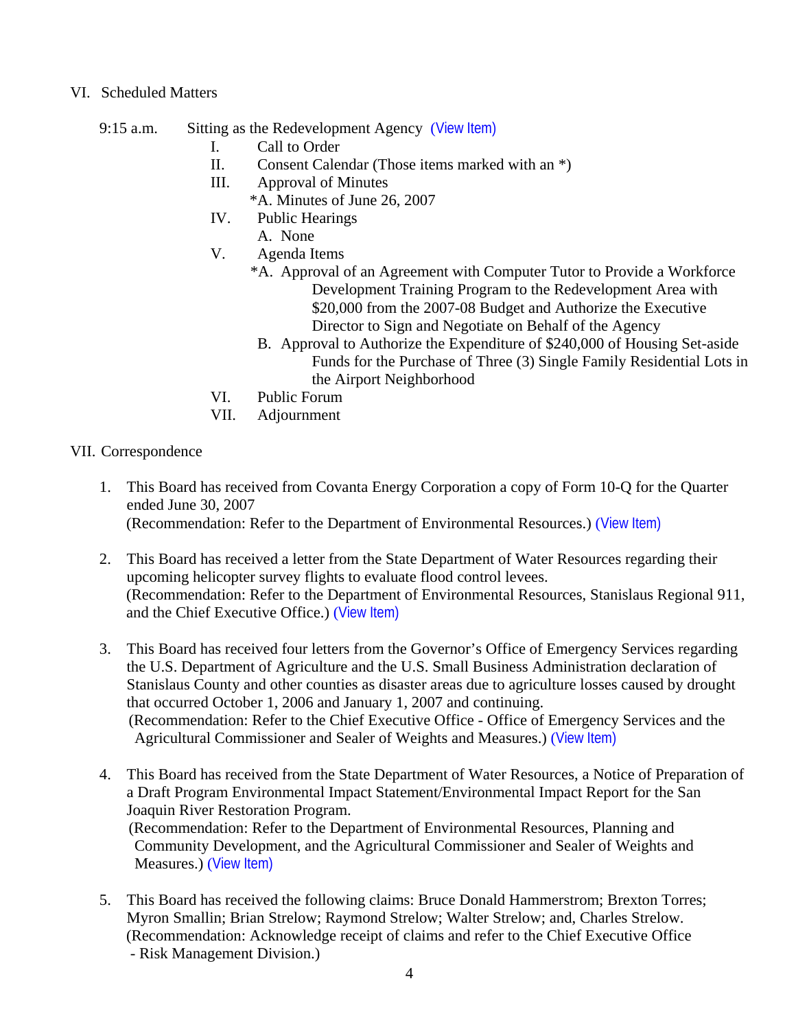### VI. Scheduled Matters

- 9:15 a.m. Sitting as the Redevelopment Agency ([View Item\)](http://www.co.stanislaus.ca.us/bos/agenda/2007/20070828/PH915.pdf)
	- I. Call to Order
	- II. Consent Calendar (Those items marked with an \*)
	- III. Approval of Minutes
		- \*A. Minutes of June 26, 2007
	- IV. Public Hearings
		- A. None
	- V. Agenda Items
		- \*A. Approval of an Agreement with Computer Tutor to Provide a Workforce Development Training Program to the Redevelopment Area with \$20,000 from the 2007-08 Budget and Authorize the Executive Director to Sign and Negotiate on Behalf of the Agency
		- B. Approval to Authorize the Expenditure of \$240,000 of Housing Set-aside Funds for the Purchase of Three (3) Single Family Residential Lots in the Airport Neighborhood
	- VI. Public Forum
	- VII. Adjournment

## VII. Correspondence

- 1. This Board has received from Covanta Energy Corporation a copy of Form 10-Q for the Quarter ended June 30, 2007 (Recommendation: Refer to the Department of Environmental Resources.) ([View Item\)](http://www.co.stanislaus.ca.us/bos/agenda/2007/20070828/Corr01.pdf)
- 2. This Board has received a letter from the State Department of Water Resources regarding their upcoming helicopter survey flights to evaluate flood control levees. (Recommendation: Refer to the Department of Environmental Resources, Stanislaus Regional 911, and the Chief Executive Office.) ([View Item\)](http://www.co.stanislaus.ca.us/bos/agenda/2007/20070828/Corr02.pdf)
- 3. This Board has received four letters from the Governor's Office of Emergency Services regarding the U.S. Department of Agriculture and the U.S. Small Business Administration declaration of Stanislaus County and other counties as disaster areas due to agriculture losses caused by drought that occurred October 1, 2006 and January 1, 2007 and continuing. (Recommendation: Refer to the Chief Executive Office - Office of Emergency Services and the Agricultural Commissioner and Sealer of Weights and Measures.) ([View Item\)](http://www.co.stanislaus.ca.us/bos/agenda/2007/20070828/Corr03.pdf)
- 4. This Board has received from the State Department of Water Resources, a Notice of Preparation of a Draft Program Environmental Impact Statement/Environmental Impact Report for the San Joaquin River Restoration Program. (Recommendation: Refer to the Department of Environmental Resources, Planning and Community Development, and the Agricultural Commissioner and Sealer of Weights and Measures.) ([View Item\)](http://www.co.stanislaus.ca.us/bos/agenda/2007/20070828/Corr04.pdf)
- 5. This Board has received the following claims: Bruce Donald Hammerstrom; Brexton Torres; Myron Smallin; Brian Strelow; Raymond Strelow; Walter Strelow; and, Charles Strelow. (Recommendation: Acknowledge receipt of claims and refer to the Chief Executive Office - Risk Management Division.)